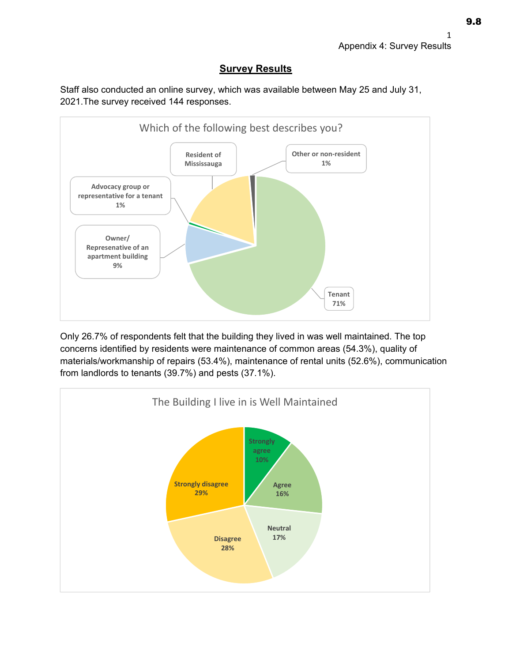## **Survey Results**

Staff also conducted an online survey, which was available between May 25 and July 31, 2021.The survey received 144 responses.



Only 26.7% of respondents felt that the building they lived in was well maintained. The top concerns identified by residents were maintenance of common areas (54.3%), quality of materials/workmanship of repairs (53.4%), maintenance of rental units (52.6%), communication from landlords to tenants (39.7%) and pests (37.1%).

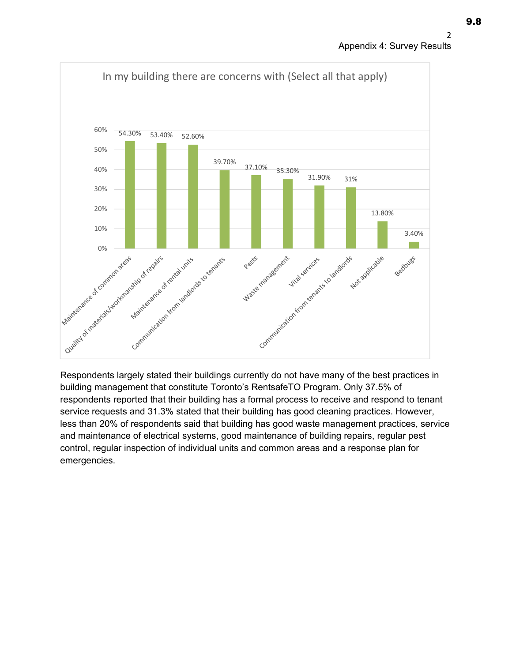



Respondents largely stated their buildings currently do not have many of the best practices in building management that constitute Toronto's RentsafeTO Program. Only 37.5% of respondents reported that their building has a formal process to receive and respond to tenant service requests and 31.3% stated that their building has good cleaning practices. However, less than 20% of respondents said that building has good waste management practices, service and maintenance of electrical systems, good maintenance of building repairs, regular pest control, regular inspection of individual units and common areas and a response plan for emergencies.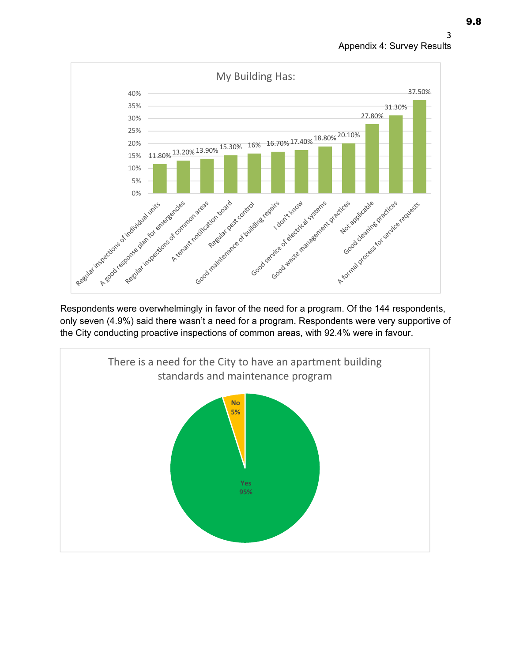



Respondents were overwhelmingly in favor of the need for a program. Of the 144 respondents, only seven (4.9%) said there wasn't a need for a program. Respondents were very supportive of the City conducting proactive inspections of common areas, with 92.4% were in favour.

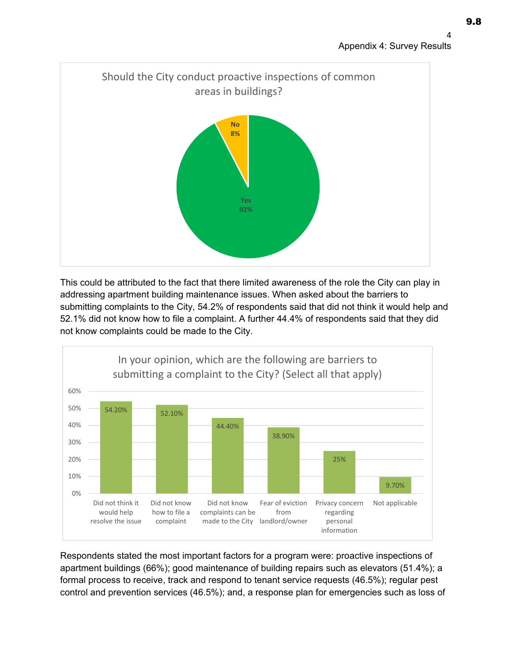

This could be attributed to the fact that there limited awareness of the role the City can play in addressing apartment building maintenance issues. When asked about the barriers to submitting complaints to the City, 54.2% of respondents said that did not think it would help and 52.1% did not know how to file a complaint. A further 44.4% of respondents said that they did not know complaints could be made to the City.



Respondents stated the most important factors for a program were: proactive inspections of apartment buildings (66%); good maintenance of building repairs such as elevators (51.4%); a formal process to receive, track and respond to tenant service requests (46.5%); regular pest control and prevention services (46.5%); and, a response plan for emergencies such as loss of 9.8